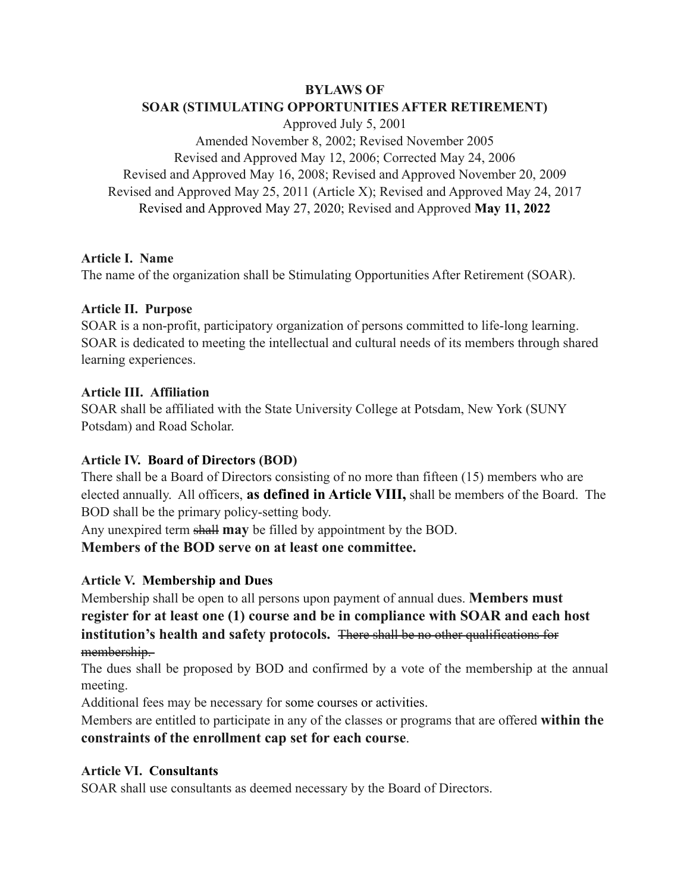**BYLAWS OF**

# **SOAR (STIMULATING OPPORTUNITIES AFTER RETIREMENT)**

Approved July 5, 2001 Amended November 8, 2002; Revised November 2005 Revised and Approved May 12, 2006; Corrected May 24, 2006 Revised and Approved May 16, 2008; Revised and Approved November 20, 2009 Revised and Approved May 25, 2011 (Article X); Revised and Approved May 24, 2017 Revised and Approved May 27, 2020; Revised and Approved **May 11, 2022**

### **Article I. Name**

The name of the organization shall be Stimulating Opportunities After Retirement (SOAR).

### **Article II. Purpose**

SOAR is a non-profit, participatory organization of persons committed to life-long learning. SOAR is dedicated to meeting the intellectual and cultural needs of its members through shared learning experiences.

### **Article III. Affiliation**

SOAR shall be affiliated with the State University College at Potsdam, New York (SUNY Potsdam) and Road Scholar.

## **Article IV. Board of Directors (BOD)**

There shall be a Board of Directors consisting of no more than fifteen (15) members who are elected annually. All officers, **as defined in Article VIII,** shall be members of the Board. The BOD shall be the primary policy-setting body.

Any unexpired term shall **may** be filled by appointment by the BOD.

## **Members of the BOD serve on at least one committee.**

## **Article V. Membership and Dues**

Membership shall be open to all persons upon payment of annual dues. **Members must register for at least one (1) course and be in compliance with SOAR and each host institution's health and safety protocols.** There shall be no other qualifications for membership.

The dues shall be proposed by BOD and confirmed by a vote of the membership at the annual meeting.

Additional fees may be necessary for some courses or activities.

Members are entitled to participate in any of the classes or programs that are offered **within the constraints of the enrollment cap set for each course**.

## **Article VI. Consultants**

SOAR shall use consultants as deemed necessary by the Board of Directors.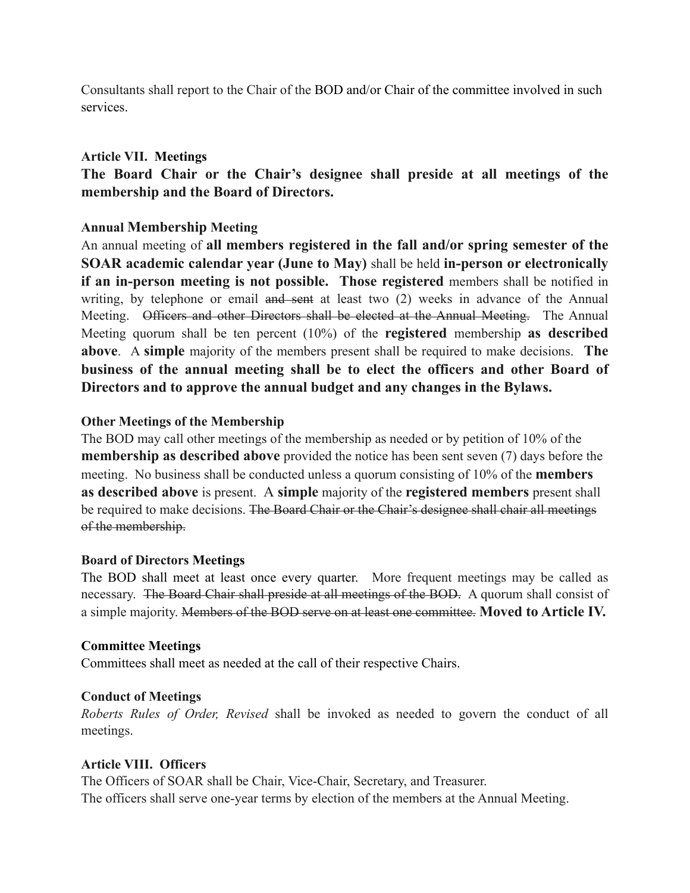Consultants shall report to the Chair of the BOD and/or Chair of the committee involved in such services.

### **Article VII. Meetings**

**The Board Chair or the Chair's designee shall preside at all meetings of the membership and the Board of Directors.**

## **Annual Membership Meeting**

An annual meeting of **all members registered in the fall and/or spring semester of the SOAR academic calendar year (June to May)** shall be held **in-person or electronically if an in-person meeting is not possible. Those registered** members shall be notified in writing, by telephone or email and sent at least two (2) weeks in advance of the Annual Meeting. Officers and other Directors shall be elected at the Annual Meeting. The Annual Meeting quorum shall be ten percent (10%) of the **registered** membership **as described above**. A **simple** majority of the members present shall be required to make decisions. **The business of the annual meeting shall be to elect the officers and other Board of Directors and to approve the annual budget and any changes in the Bylaws.**

### **Other Meetings of the Membership**

The BOD may call other meetings of the membership as needed or by petition of 10% of the **membership as described above** provided the notice has been sent seven (7) days before the meeting. No business shall be conducted unless a quorum consisting of 10% of the **members as described above** is present. A **simple** majority of the **registered members** present shall be required to make decisions. The Board Chair or the Chair's designee shall chair all meetings of the membership.

### **Board of Directors Meetings**

The BOD shall meet at least once every quarter. More frequent meetings may be called as necessary. The Board Chair shall preside at all meetings of the BOD. A quorum shall consist of a simple majority. Members of the BOD serve on at least one committee. **Moved to Article IV.**

### **Committee Meetings**

Committees shall meet as needed at the call of their respective Chairs.

### **Conduct of Meetings**

*Roberts Rules of Order, Revised* shall be invoked as needed to govern the conduct of all meetings.

### **Article VIII. Officers**

The Officers of SOAR shall be Chair, Vice-Chair, Secretary, and Treasurer. The officers shall serve one-year terms by election of the members at the Annual Meeting.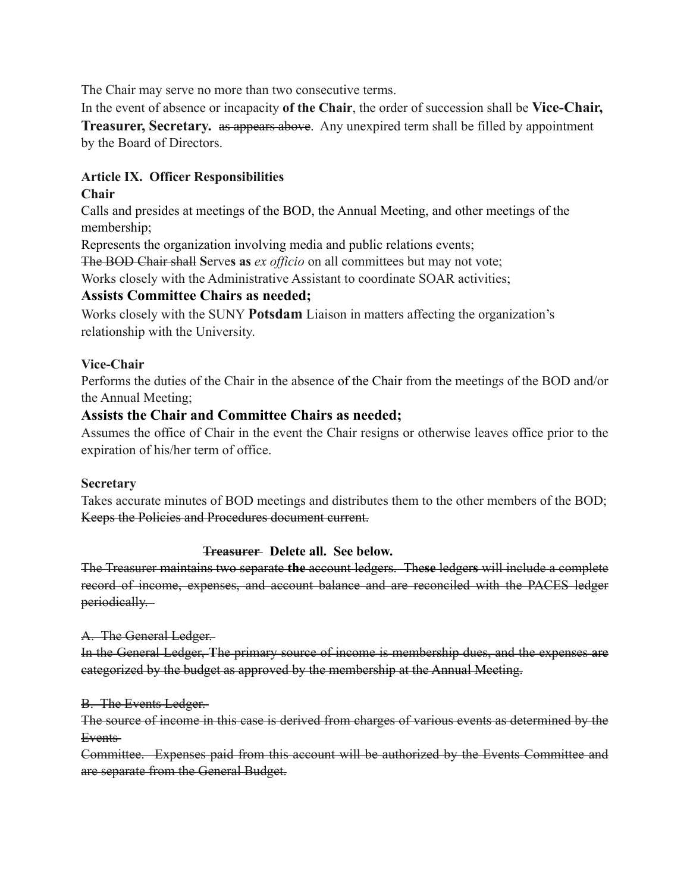The Chair may serve no more than two consecutive terms.

In the event of absence or incapacity **of the Chair**, the order of succession shall be **Vice-Chair, Treasurer, Secretary.** as appears above. Any unexpired term shall be filled by appointment by the Board of Directors.

## **Article IX. Officer Responsibilities**

## **Chair**

Calls and presides at meetings of the BOD, the Annual Meeting, and other meetings of the membership;

Represents the organization involving media and public relations events;

The BOD Chair shall **S**erve**s as** *ex officio* on all committees but may not vote;

Works closely with the Administrative Assistant to coordinate SOAR activities;

## **Assists Committee Chairs as needed;**

Works closely with the SUNY **Potsdam** Liaison in matters affecting the organization's relationship with the University.

## **Vice-Chair**

Performs the duties of the Chair in the absence of the Chair from the meetings of the BOD and/or the Annual Meeting;

## **Assists the Chair and Committee Chairs as needed;**

Assumes the office of Chair in the event the Chair resigns or otherwise leaves office prior to the expiration of his/her term of office.

## **Secretary**

Takes accurate minutes of BOD meetings and distributes them to the other members of the BOD; Keeps the Policies and Procedures document current.

## **Treasurer Delete all. See below.**

The Treasurer maintains two separate **the** account ledgers. The**se** ledger**s** will include a complete record of income, expenses, and account balance and are reconciled with the PACES ledger periodically.

## A. The General Ledger.

In the General Ledger, **T**he primary source of income is membership dues, and the expenses are categorized by the budget as approved by the membership at the Annual Meeting.

### B. The Events Ledger.

The source of income in this case is derived from charges of various events as determined by the Events

Committee. Expenses paid from this account will be authorized by the Events Committee and are separate from the General Budget.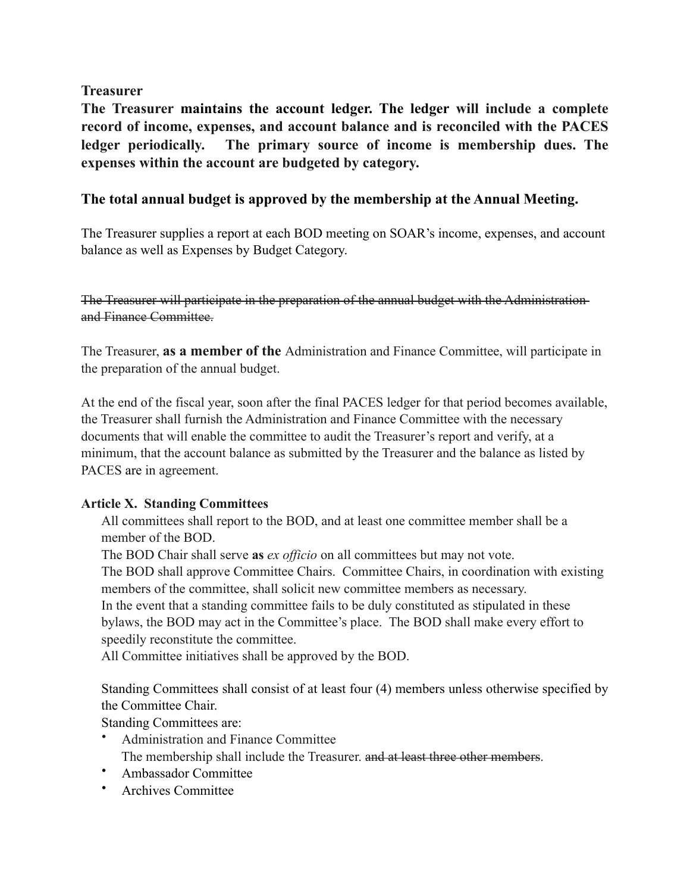**Treasurer**

**The Treasurer maintains the account ledger. The ledger will include a complete record of income, expenses, and account balance and is reconciled with the PACES ledger periodically. The primary source of income is membership dues. The expenses within the account are budgeted by category.** 

## **The total annual budget is approved by the membership at the Annual Meeting.**

The Treasurer supplies a report at each BOD meeting on SOAR's income, expenses, and account balance as well as Expenses by Budget Category.

The Treasurer will participate in the preparation of the annual budget with the Administration and Finance Committee.

The Treasurer, **as a member of the** Administration and Finance Committee, will participate in the preparation of the annual budget.

At the end of the fiscal year, soon after the final PACES ledger for that period becomes available, the Treasurer shall furnish the Administration and Finance Committee with the necessary documents that will enable the committee to audit the Treasurer's report and verify, at a minimum, that the account balance as submitted by the Treasurer and the balance as listed by PACES are in agreement.

## **Article X. Standing Committees**

All committees shall report to the BOD, and at least one committee member shall be a member of the BOD.

The BOD Chair shall serve **as** *ex officio* on all committees but may not vote. The BOD shall approve Committee Chairs. Committee Chairs, in coordination with existing members of the committee, shall solicit new committee members as necessary. In the event that a standing committee fails to be duly constituted as stipulated in these bylaws, the BOD may act in the Committee's place. The BOD shall make every effort to speedily reconstitute the committee.

All Committee initiatives shall be approved by the BOD.

Standing Committees shall consist of at least four (4) members unless otherwise specified by the Committee Chair.

Standing Committees are:

- Administration and Finance Committee The membership shall include the Treasurer. and at least three other members.
- Ambassador Committee
- Archives Committee